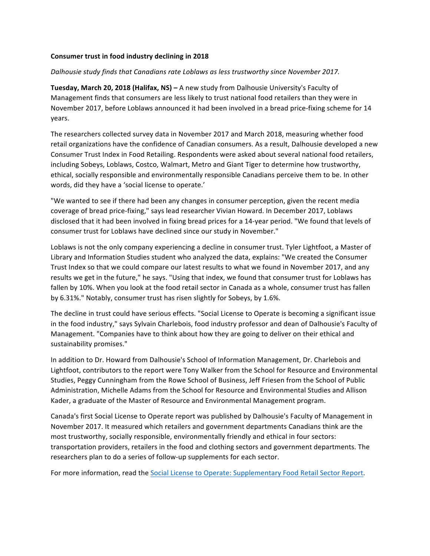## **Consumer trust in food industry declining in 2018**

## *Dalhousie study finds that Canadians rate Loblaws as less trustworthy since November 2017.*

**Tuesday, March 20, 2018 (Halifax, NS) –** A new study from Dalhousie University's Faculty of Management finds that consumers are less likely to trust national food retailers than they were in November 2017, before Loblaws announced it had been involved in a bread price-fixing scheme for 14 years. 

The researchers collected survey data in November 2017 and March 2018, measuring whether food retail organizations have the confidence of Canadian consumers. As a result, Dalhousie developed a new Consumer Trust Index in Food Retailing. Respondents were asked about several national food retailers, including Sobeys, Loblaws, Costco, Walmart, Metro and Giant Tiger to determine how trustworthy, ethical, socially responsible and environmentally responsible Canadians perceive them to be. In other words, did they have a 'social license to operate.'

"We wanted to see if there had been any changes in consumer perception, given the recent media coverage of bread price-fixing," says lead researcher Vivian Howard. In December 2017, Loblaws disclosed that it had been involved in fixing bread prices for a 14-year period. "We found that levels of consumer trust for Loblaws have declined since our study in November."

Loblaws is not the only company experiencing a decline in consumer trust. Tyler Lightfoot, a Master of Library and Information Studies student who analyzed the data, explains: "We created the Consumer Trust Index so that we could compare our latest results to what we found in November 2017, and any results we get in the future," he says. "Using that index, we found that consumer trust for Loblaws has fallen by 10%. When you look at the food retail sector in Canada as a whole, consumer trust has fallen by 6.31%." Notably, consumer trust has risen slightly for Sobeys, by 1.6%.

The decline in trust could have serious effects. "Social License to Operate is becoming a significant issue in the food industry," says Sylvain Charlebois, food industry professor and dean of Dalhousie's Faculty of Management. "Companies have to think about how they are going to deliver on their ethical and sustainability promises."

In addition to Dr. Howard from Dalhousie's School of Information Management, Dr. Charlebois and Lightfoot, contributors to the report were Tony Walker from the School for Resource and Environmental Studies, Peggy Cunningham from the Rowe School of Business, Jeff Friesen from the School of Public Administration, Michelle Adams from the School for Resource and Environmental Studies and Allison Kader, a graduate of the Master of Resource and Environmental Management program.

Canada's first Social License to Operate report was published by Dalhousie's Faculty of Management in November 2017. It measured which retailers and government departments Canadians think are the most trustworthy, socially responsible, environmentally friendly and ethical in four sectors: transportation providers, retailers in the food and clothing sectors and government departments. The researchers plan to do a series of follow-up supplements for each sector.

For more information, read the Social License to Operate: Supplementary Food Retail Sector Report.